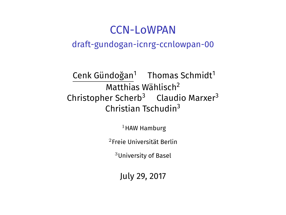### CCN-LoWPAN draft-gundogan-icnrg-ccnlowpan-00

Cenk Gündoğan<sup>1</sup> Thomas Schmidt<sup>1</sup> Matthias Wählisch<sup>2</sup> Christopher Scherb<sup>3</sup> Claudio Marxer<sup>3</sup> Christian Tschudin<sup>3</sup>

 $1$ HAW Hamburg

<sup>2</sup>Freie Universität Berlin

<sup>3</sup>University of Basel

July 29, 2017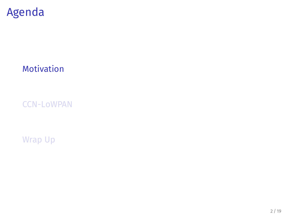# Agenda

Motivation

CCN-LoWPAN

Wrap Up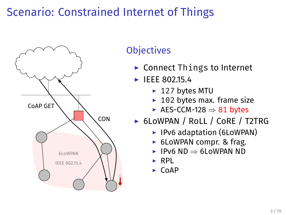### Scenario: Constrained Internet of Things



### **Objectives**

- ▶ Connect Things to Internet
- ▶ IEEE 802.15.4
	- ▶ 127 bytes MTU
	- $\blacktriangleright$  102 bytes max. frame size
	- ▶ AES-CCM-128 *⇒* 81 bytes
- ▶ 6LoWPAN / RoLL / CoRE / T2TRG
	- ▶ IPv6 adaptation (6LoWPAN)
	- ▶ 6LoWPAN compr. & frag.
	- ▶ IPv6 ND *⇒* 6LoWPAN ND
	- ▶ RPL
	- ▶ CoAP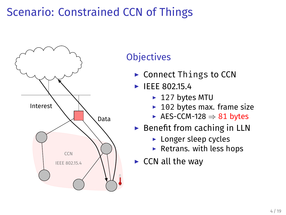## Scenario: Constrained CCN of Things



### **Objectives**

- ▶ Connect Things to CCN
- ▶ IEEE 802.15.4
	- ▶ 127 bytes MTU
	- $\blacktriangleright$  102 bytes max. frame size
	- ▶ AES-CCM-128 *⇒* 81 bytes
- ▶ Benefit from caching in LLN
	- ▶ Longer sleep cycles
	- $\blacktriangleright$  Retrans. with less hops
- $\triangleright$  CCN all the way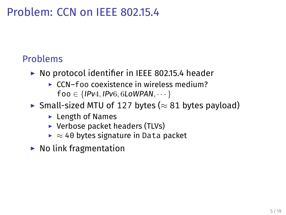### Problem: CCN on IEEE 802.15.4

### Problems

- ▶ No protocol identifier in IEEE 802.15.4 header
	- ▶ CCN–foo coexistence in wireless medium? foo *∈ {IPv*4*, IPv*6*,* 6*LoWPAN, · · · }*
- ▶ Small-sized MTU of 127 bytes (*≈* 81 bytes payload)
	- $\blacktriangleright$  Length of Names
	- ▶ Verbose packet headers (TLVs)
	- ▶ *≈* 40 bytes signature in Data packet
- $\blacktriangleright$  No link fragmentation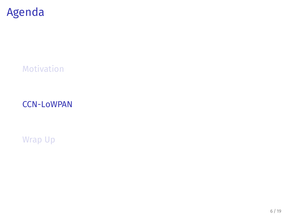# Agenda

Motivation

CCN-LoWPAN

Wrap Up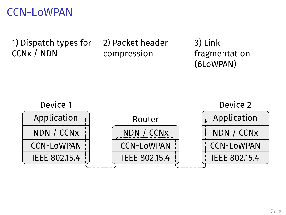### CCN-LoWPAN

1) Dispatch types for CCNx / NDN

2) Packet header compression

3) Link fragmentation (6LoWPAN)

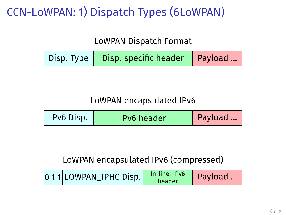# CCN-LoWPAN: 1) Dispatch Types (6LoWPAN)

LoWPAN Dispatch Format

|  | Disp. Type   Disp. specific header   Payload  / |  |
|--|-------------------------------------------------|--|
|--|-------------------------------------------------|--|

#### LoWPAN encapsulated IPv6

| IPv6 Disp. | <b>IPv6</b> header | Payload |
|------------|--------------------|---------|
|------------|--------------------|---------|

#### LoWPAN encapsulated IPv6 (compressed)

|  |  | $ 0 1 1 $ LOWPAN_IPHC Disp. | In-line. IPv6<br>header | Payload |
|--|--|-----------------------------|-------------------------|---------|
|--|--|-----------------------------|-------------------------|---------|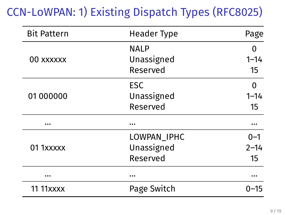# CCN-LoWPAN: 1) Existing Dispatch Types (RFC8025)

| <b>Bit Pattern</b> | <b>Header Type</b> | Page     |
|--------------------|--------------------|----------|
|                    | <b>NALP</b>        | 0        |
| 00 xxxxxx          | Unassigned         | $1 - 14$ |
|                    | Reserved           | 15       |
|                    | ESC                | 0        |
| 01 000000          | Unassigned         | $1 - 14$ |
|                    | Reserved           | 15       |
|                    |                    |          |
|                    | LOWPAN_IPHC        | $0 - 1$  |
| 01 1xxxxx          | Unassigned         | $2 - 14$ |
|                    | Reserved           | 15       |
|                    | $\cdots$           |          |
| <b>11 11xxxx</b>   | Page Switch        | $0 - 15$ |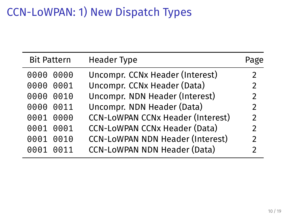# CCN-LoWPAN: 1) New Dispatch Types

J.

| <b>Bit Pattern</b> | <b>Header Type</b>                       | Page           |
|--------------------|------------------------------------------|----------------|
| 0000<br>0000       | Uncompr. CCNx Header (Interest)          | 2              |
| 0000<br>0001       | Uncompr. CCNx Header (Data)              | 2              |
| 0000<br>0010       | Uncompr. NDN Header (Interest)           | $\overline{2}$ |
| 0000<br>0011       | Uncompr. NDN Header (Data)               | 2              |
| 0001<br>0000       | <b>CCN-LOWPAN CCNx Header (Interest)</b> | $\overline{2}$ |
| 0001<br>0001       | <b>CCN-LoWPAN CCNx Header (Data)</b>     | $\overline{2}$ |
| 0001<br>0010       | <b>CCN-LoWPAN NDN Header (Interest)</b>  | $\mathcal{P}$  |
| 0001<br>0011       | <b>CCN-LoWPAN NDN Header (Data)</b>      | $\mathfrak{p}$ |
|                    |                                          |                |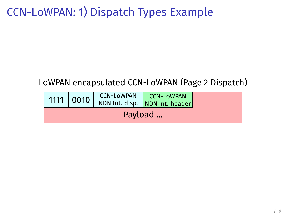### CCN-LoWPAN: 1) Dispatch Types Example

#### LoWPAN encapsulated CCN-LoWPAN (Page 2 Dispatch)

|         |  |  | CCN-LoWPAN   CCN-LoWPAN<br>1111 0010 NDN Int. disp. NDN Int. header |  |
|---------|--|--|---------------------------------------------------------------------|--|
| Payload |  |  |                                                                     |  |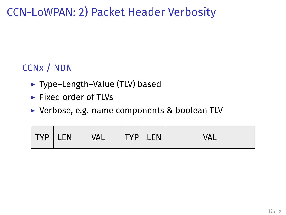CCN-LoWPAN: 2) Packet Header Verbosity

### CCNx / NDN

- ▶ Type–Length–Value (TLV) based
- ▶ Fixed order of TLVs
- ▶ Verbose, e.g. name components & boolean TLV

| TVP I FN<br><b>TVD</b><br>Val<br>I Г<br>. . | ΞNΙ<br>ᇄ |
|---------------------------------------------|----------|
|---------------------------------------------|----------|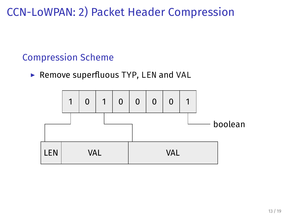CCN-LoWPAN: 2) Packet Header Compression

#### Compression Scheme

▶ Remove superfluous TYP, LEN and VAL

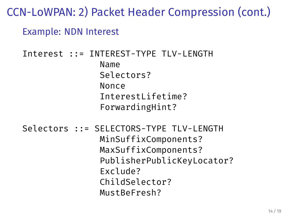### CCN-LoWPAN: 2) Packet Header Compression (cont.)

#### Example: NDN Interest

```
Interest ::= INTEREST-TYPE TLV-LENGTH
               Name
               Selectors?
               Nonce
               InterestLifetime?
               ForwardingHint?
Selectors ::= SELECTORS-TYPE TLV-LENGTH
               MinSuffixComponents?
               MaxSuffixComponents?
               PublisherPublicKeyLocator?
```
Exclude?

ChildSelector? MustBeFresh?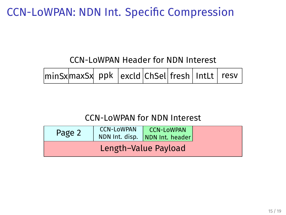### CCN-LoWPAN: NDN Int. Specific Compression

CCN-LoWPAN Header for NDN Interest

#### CCN-LoWPAN for NDN Interest

| Page 2               |  | CCN-LOWPAN CCN-LOWPAN NDN Int. disp. NDN Int. header |  |  |
|----------------------|--|------------------------------------------------------|--|--|
| Length-Value Payload |  |                                                      |  |  |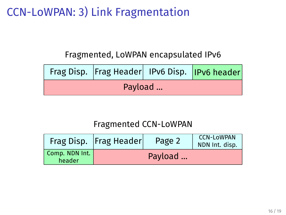### CCN-LoWPAN: 3) Link Fragmentation

Fragmented, LoWPAN encapsulated IPv6

|         | Frag Disp.   Frag Header   IPv6 Disp.   IPv6 header |  |  |  |
|---------|-----------------------------------------------------|--|--|--|
| Payload |                                                     |  |  |  |

#### Fragmented CCN-LoWPAN

|                          | Frag Disp.   Frag Header | Page 2  | <b>CCN-LOWPAN</b><br>NDN Int. disp. |
|--------------------------|--------------------------|---------|-------------------------------------|
| Comp. NDN Int.<br>header |                          | Payload |                                     |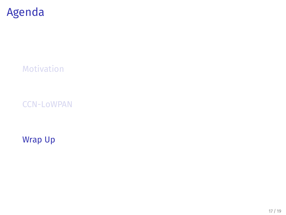# Agenda

Motivation

CCN-LoWPAN

Wrap Up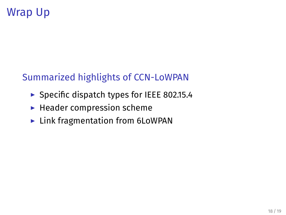## Wrap Up

### Summarized highlights of CCN-LoWPAN

- ▶ Specific dispatch types for IEEE 802.15.4
- $\blacktriangleright$  Header compression scheme
- ▶ Link fragmentation from 6LoWPAN